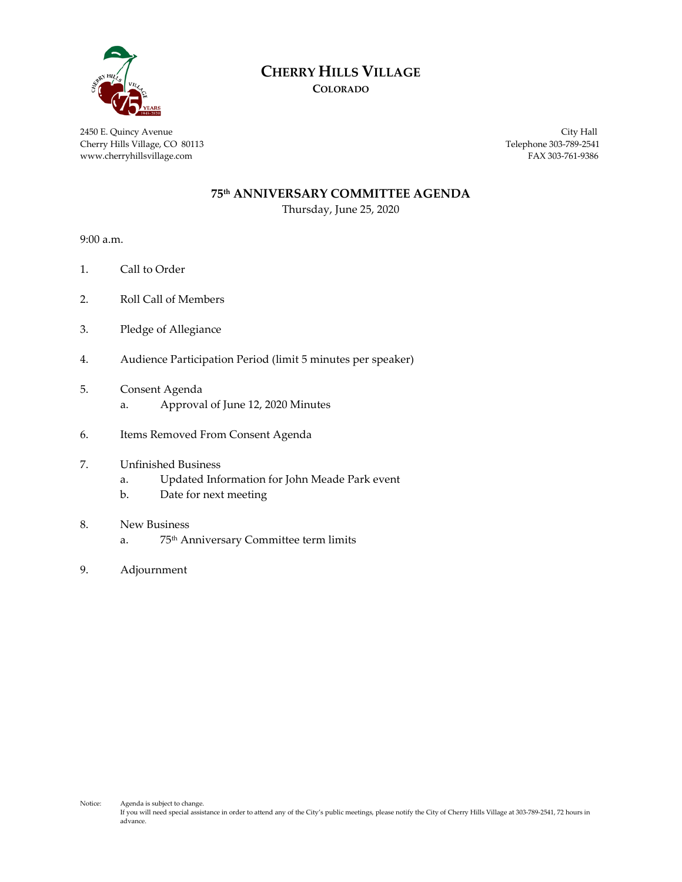

# **CHERRY HILLS VILLAGE**

**COLORADO**

2450 E. Quincy Avenue City Hall Cherry Hills Village, CO 80113 Telephone 303-789-2541 www.cherryhillsvillage.com FAX 303-761-9386

#### **75th ANNIVERSARY COMMITTEE AGENDA**

Thursday, June 25, 2020

9:00 a.m.

- 1. Call to Order
- 2. Roll Call of Members
- 3. Pledge of Allegiance
- 4. Audience Participation Period (limit 5 minutes per speaker)
- 5. Consent Agenda
	- a. Approval of June 12, 2020 Minutes
- 6. Items Removed From Consent Agenda
- 7. Unfinished Business
	- a. Updated Information for John Meade Park event
	- b. Date for next meeting
- 8. New Business
	- a. 75th Anniversary Committee term limits
- 9. Adjournment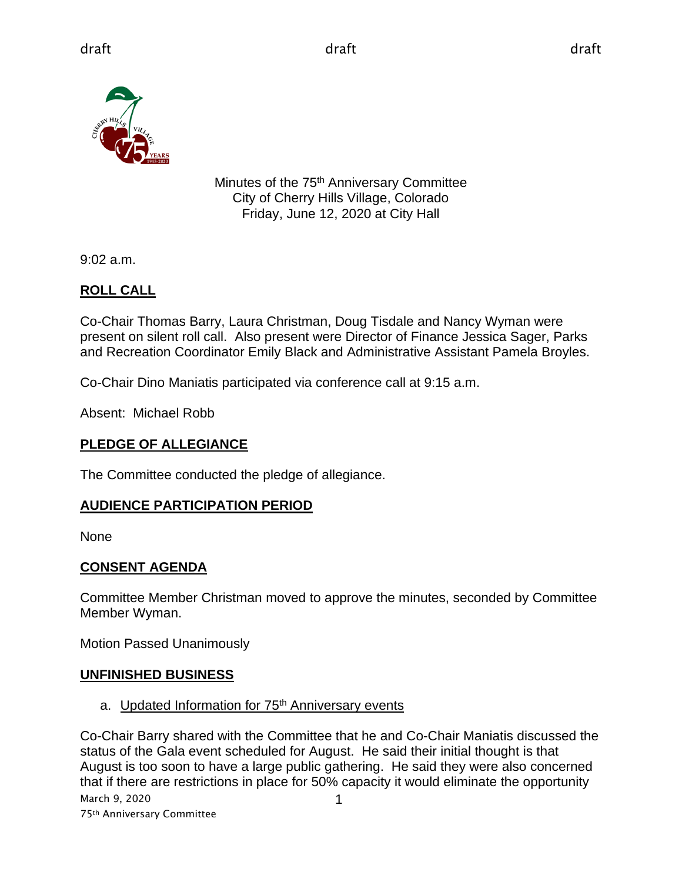

Minutes of the 75<sup>th</sup> Anniversary Committee City of Cherry Hills Village, Colorado Friday, June 12, 2020 at City Hall

9:02 a.m.

# **ROLL CALL**

Co-Chair Thomas Barry, Laura Christman, Doug Tisdale and Nancy Wyman were present on silent roll call. Also present were Director of Finance Jessica Sager, Parks and Recreation Coordinator Emily Black and Administrative Assistant Pamela Broyles.

Co-Chair Dino Maniatis participated via conference call at 9:15 a.m.

Absent: Michael Robb

# **PLEDGE OF ALLEGIANCE**

The Committee conducted the pledge of allegiance.

# **AUDIENCE PARTICIPATION PERIOD**

None

# **CONSENT AGENDA**

Committee Member Christman moved to approve the minutes, seconded by Committee Member Wyman.

Motion Passed Unanimously

# **UNFINISHED BUSINESS**

a. Updated Information for 75<sup>th</sup> Anniversary events

March 9, 2020 75th Anniversary Committee 1 Co-Chair Barry shared with the Committee that he and Co-Chair Maniatis discussed the status of the Gala event scheduled for August. He said their initial thought is that August is too soon to have a large public gathering. He said they were also concerned that if there are restrictions in place for 50% capacity it would eliminate the opportunity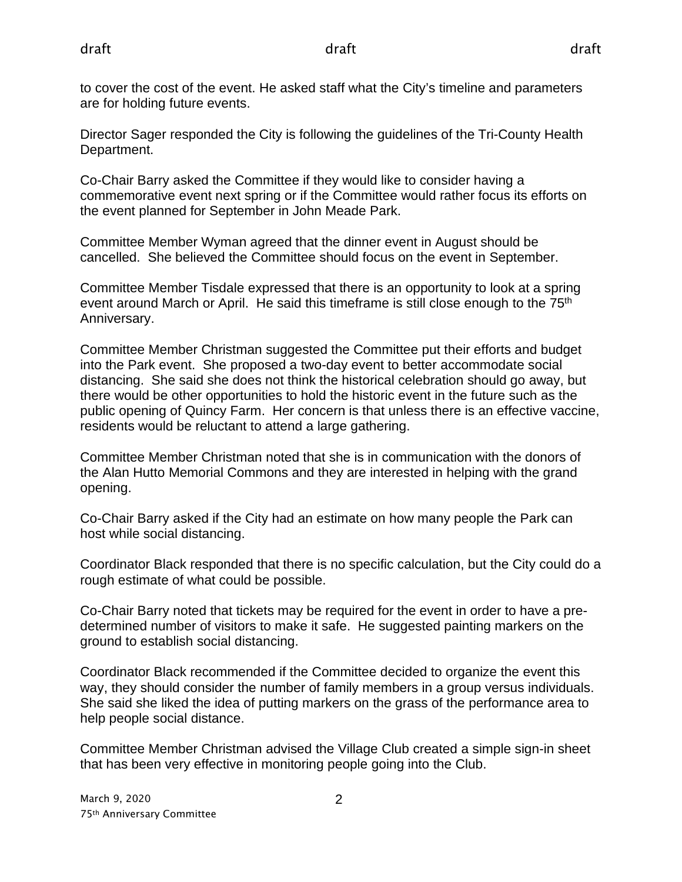to cover the cost of the event. He asked staff what the City's timeline and parameters are for holding future events.

Director Sager responded the City is following the guidelines of the Tri-County Health Department.

Co-Chair Barry asked the Committee if they would like to consider having a commemorative event next spring or if the Committee would rather focus its efforts on the event planned for September in John Meade Park.

Committee Member Wyman agreed that the dinner event in August should be cancelled. She believed the Committee should focus on the event in September.

Committee Member Tisdale expressed that there is an opportunity to look at a spring event around March or April. He said this time frame is still close enough to the  $75<sup>th</sup>$ Anniversary.

Committee Member Christman suggested the Committee put their efforts and budget into the Park event. She proposed a two-day event to better accommodate social distancing. She said she does not think the historical celebration should go away, but there would be other opportunities to hold the historic event in the future such as the public opening of Quincy Farm. Her concern is that unless there is an effective vaccine, residents would be reluctant to attend a large gathering.

Committee Member Christman noted that she is in communication with the donors of the Alan Hutto Memorial Commons and they are interested in helping with the grand opening.

Co-Chair Barry asked if the City had an estimate on how many people the Park can host while social distancing.

Coordinator Black responded that there is no specific calculation, but the City could do a rough estimate of what could be possible.

Co-Chair Barry noted that tickets may be required for the event in order to have a predetermined number of visitors to make it safe. He suggested painting markers on the ground to establish social distancing.

Coordinator Black recommended if the Committee decided to organize the event this way, they should consider the number of family members in a group versus individuals. She said she liked the idea of putting markers on the grass of the performance area to help people social distance.

Committee Member Christman advised the Village Club created a simple sign-in sheet that has been very effective in monitoring people going into the Club.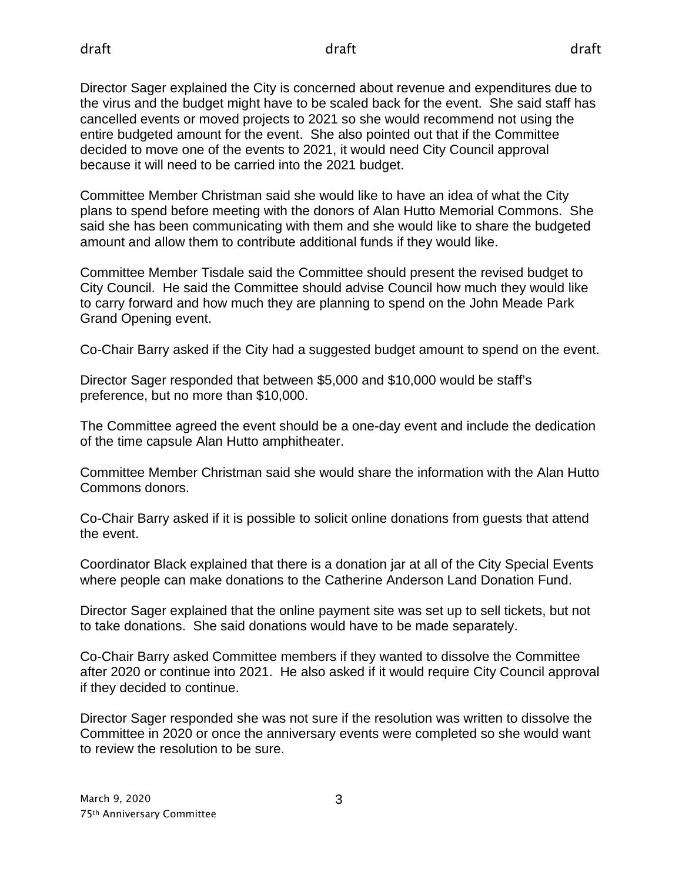Director Sager explained the City is concerned about revenue and expenditures due to the virus and the budget might have to be scaled back for the event. She said staff has cancelled events or moved projects to 2021 so she would recommend not using the entire budgeted amount for the event. She also pointed out that if the Committee decided to move one of the events to 2021, it would need City Council approval because it will need to be carried into the 2021 budget.

Committee Member Christman said she would like to have an idea of what the City plans to spend before meeting with the donors of Alan Hutto Memorial Commons. She said she has been communicating with them and she would like to share the budgeted amount and allow them to contribute additional funds if they would like.

Committee Member Tisdale said the Committee should present the revised budget to City Council. He said the Committee should advise Council how much they would like to carry forward and how much they are planning to spend on the John Meade Park Grand Opening event.

Co-Chair Barry asked if the City had a suggested budget amount to spend on the event.

Director Sager responded that between \$5,000 and \$10,000 would be staff's preference, but no more than \$10,000.

The Committee agreed the event should be a one-day event and include the dedication of the time capsule Alan Hutto amphitheater.

Committee Member Christman said she would share the information with the Alan Hutto Commons donors.

Co-Chair Barry asked if it is possible to solicit online donations from guests that attend the event.

Coordinator Black explained that there is a donation jar at all of the City Special Events where people can make donations to the Catherine Anderson Land Donation Fund.

Director Sager explained that the online payment site was set up to sell tickets, but not to take donations. She said donations would have to be made separately.

Co-Chair Barry asked Committee members if they wanted to dissolve the Committee after 2020 or continue into 2021. He also asked if it would require City Council approval if they decided to continue.

Director Sager responded she was not sure if the resolution was written to dissolve the Committee in 2020 or once the anniversary events were completed so she would want to review the resolution to be sure.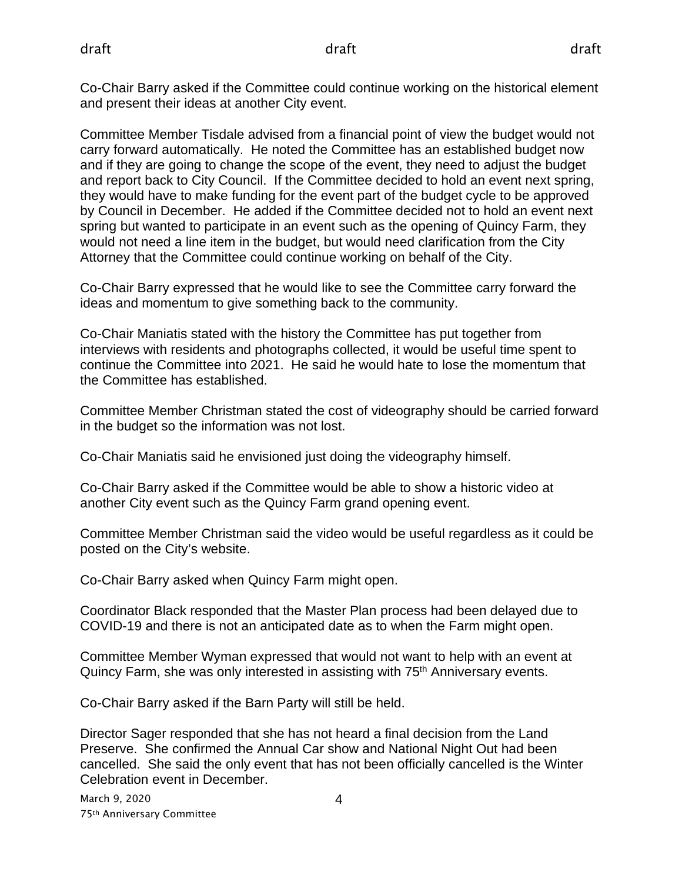Co-Chair Barry asked if the Committee could continue working on the historical element and present their ideas at another City event.

Committee Member Tisdale advised from a financial point of view the budget would not carry forward automatically. He noted the Committee has an established budget now and if they are going to change the scope of the event, they need to adjust the budget and report back to City Council. If the Committee decided to hold an event next spring, they would have to make funding for the event part of the budget cycle to be approved by Council in December. He added if the Committee decided not to hold an event next spring but wanted to participate in an event such as the opening of Quincy Farm, they would not need a line item in the budget, but would need clarification from the City Attorney that the Committee could continue working on behalf of the City.

Co-Chair Barry expressed that he would like to see the Committee carry forward the ideas and momentum to give something back to the community.

Co-Chair Maniatis stated with the history the Committee has put together from interviews with residents and photographs collected, it would be useful time spent to continue the Committee into 2021. He said he would hate to lose the momentum that the Committee has established.

Committee Member Christman stated the cost of videography should be carried forward in the budget so the information was not lost.

Co-Chair Maniatis said he envisioned just doing the videography himself.

Co-Chair Barry asked if the Committee would be able to show a historic video at another City event such as the Quincy Farm grand opening event.

Committee Member Christman said the video would be useful regardless as it could be posted on the City's website.

Co-Chair Barry asked when Quincy Farm might open.

Coordinator Black responded that the Master Plan process had been delayed due to COVID-19 and there is not an anticipated date as to when the Farm might open.

Committee Member Wyman expressed that would not want to help with an event at Quincy Farm, she was only interested in assisting with 75th Anniversary events.

Co-Chair Barry asked if the Barn Party will still be held.

Director Sager responded that she has not heard a final decision from the Land Preserve. She confirmed the Annual Car show and National Night Out had been cancelled. She said the only event that has not been officially cancelled is the Winter Celebration event in December.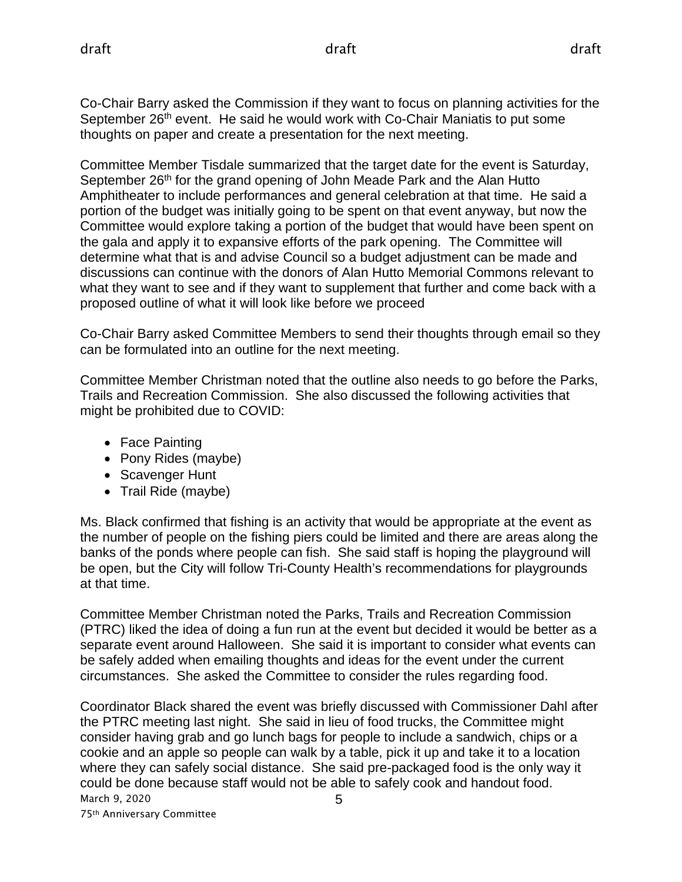Co-Chair Barry asked the Commission if they want to focus on planning activities for the September 26<sup>th</sup> event. He said he would work with Co-Chair Maniatis to put some thoughts on paper and create a presentation for the next meeting.

Committee Member Tisdale summarized that the target date for the event is Saturday, September 26<sup>th</sup> for the grand opening of John Meade Park and the Alan Hutto Amphitheater to include performances and general celebration at that time. He said a portion of the budget was initially going to be spent on that event anyway, but now the Committee would explore taking a portion of the budget that would have been spent on the gala and apply it to expansive efforts of the park opening. The Committee will determine what that is and advise Council so a budget adjustment can be made and discussions can continue with the donors of Alan Hutto Memorial Commons relevant to what they want to see and if they want to supplement that further and come back with a proposed outline of what it will look like before we proceed

Co-Chair Barry asked Committee Members to send their thoughts through email so they can be formulated into an outline for the next meeting.

Committee Member Christman noted that the outline also needs to go before the Parks, Trails and Recreation Commission. She also discussed the following activities that might be prohibited due to COVID:

- Face Painting
- Pony Rides (maybe)
- Scavenger Hunt
- Trail Ride (maybe)

Ms. Black confirmed that fishing is an activity that would be appropriate at the event as the number of people on the fishing piers could be limited and there are areas along the banks of the ponds where people can fish. She said staff is hoping the playground will be open, but the City will follow Tri-County Health's recommendations for playgrounds at that time.

Committee Member Christman noted the Parks, Trails and Recreation Commission (PTRC) liked the idea of doing a fun run at the event but decided it would be better as a separate event around Halloween. She said it is important to consider what events can be safely added when emailing thoughts and ideas for the event under the current circumstances. She asked the Committee to consider the rules regarding food.

March 9, 2020 5 Coordinator Black shared the event was briefly discussed with Commissioner Dahl after the PTRC meeting last night. She said in lieu of food trucks, the Committee might consider having grab and go lunch bags for people to include a sandwich, chips or a cookie and an apple so people can walk by a table, pick it up and take it to a location where they can safely social distance. She said pre-packaged food is the only way it could be done because staff would not be able to safely cook and handout food.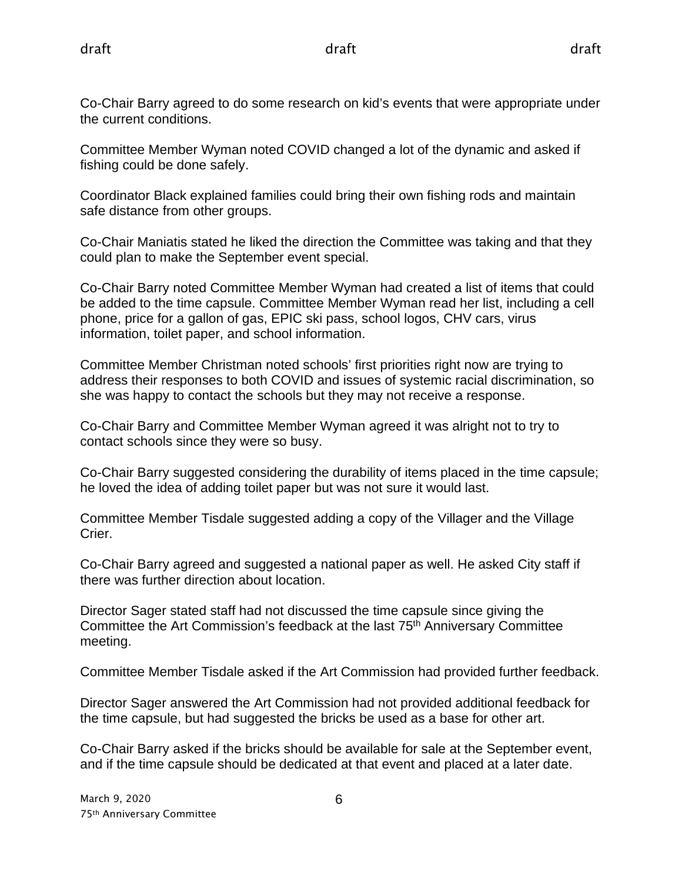Co-Chair Barry agreed to do some research on kid's events that were appropriate under the current conditions.

Committee Member Wyman noted COVID changed a lot of the dynamic and asked if fishing could be done safely.

Coordinator Black explained families could bring their own fishing rods and maintain safe distance from other groups.

Co-Chair Maniatis stated he liked the direction the Committee was taking and that they could plan to make the September event special.

Co-Chair Barry noted Committee Member Wyman had created a list of items that could be added to the time capsule. Committee Member Wyman read her list, including a cell phone, price for a gallon of gas, EPIC ski pass, school logos, CHV cars, virus information, toilet paper, and school information.

Committee Member Christman noted schools' first priorities right now are trying to address their responses to both COVID and issues of systemic racial discrimination, so she was happy to contact the schools but they may not receive a response.

Co-Chair Barry and Committee Member Wyman agreed it was alright not to try to contact schools since they were so busy.

Co-Chair Barry suggested considering the durability of items placed in the time capsule; he loved the idea of adding toilet paper but was not sure it would last.

Committee Member Tisdale suggested adding a copy of the Villager and the Village Crier.

Co-Chair Barry agreed and suggested a national paper as well. He asked City staff if there was further direction about location.

Director Sager stated staff had not discussed the time capsule since giving the Committee the Art Commission's feedback at the last 75<sup>th</sup> Anniversary Committee meeting.

Committee Member Tisdale asked if the Art Commission had provided further feedback.

Director Sager answered the Art Commission had not provided additional feedback for the time capsule, but had suggested the bricks be used as a base for other art.

Co-Chair Barry asked if the bricks should be available for sale at the September event, and if the time capsule should be dedicated at that event and placed at a later date.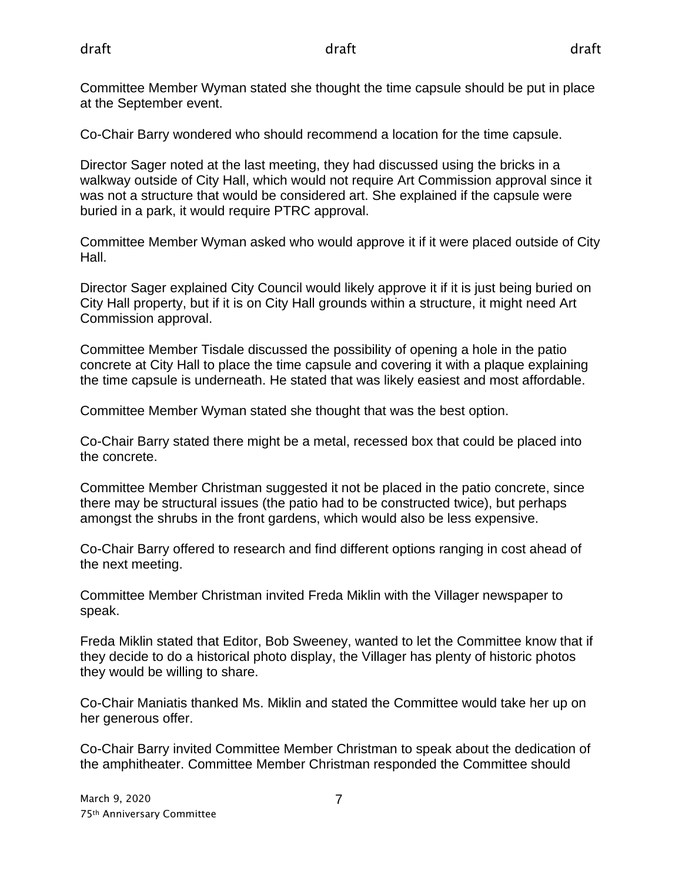Committee Member Wyman stated she thought the time capsule should be put in place at the September event.

Co-Chair Barry wondered who should recommend a location for the time capsule.

Director Sager noted at the last meeting, they had discussed using the bricks in a walkway outside of City Hall, which would not require Art Commission approval since it was not a structure that would be considered art. She explained if the capsule were buried in a park, it would require PTRC approval.

Committee Member Wyman asked who would approve it if it were placed outside of City Hall.

Director Sager explained City Council would likely approve it if it is just being buried on City Hall property, but if it is on City Hall grounds within a structure, it might need Art Commission approval.

Committee Member Tisdale discussed the possibility of opening a hole in the patio concrete at City Hall to place the time capsule and covering it with a plaque explaining the time capsule is underneath. He stated that was likely easiest and most affordable.

Committee Member Wyman stated she thought that was the best option.

Co-Chair Barry stated there might be a metal, recessed box that could be placed into the concrete.

Committee Member Christman suggested it not be placed in the patio concrete, since there may be structural issues (the patio had to be constructed twice), but perhaps amongst the shrubs in the front gardens, which would also be less expensive.

Co-Chair Barry offered to research and find different options ranging in cost ahead of the next meeting.

Committee Member Christman invited Freda Miklin with the Villager newspaper to speak.

Freda Miklin stated that Editor, Bob Sweeney, wanted to let the Committee know that if they decide to do a historical photo display, the Villager has plenty of historic photos they would be willing to share.

Co-Chair Maniatis thanked Ms. Miklin and stated the Committee would take her up on her generous offer.

Co-Chair Barry invited Committee Member Christman to speak about the dedication of the amphitheater. Committee Member Christman responded the Committee should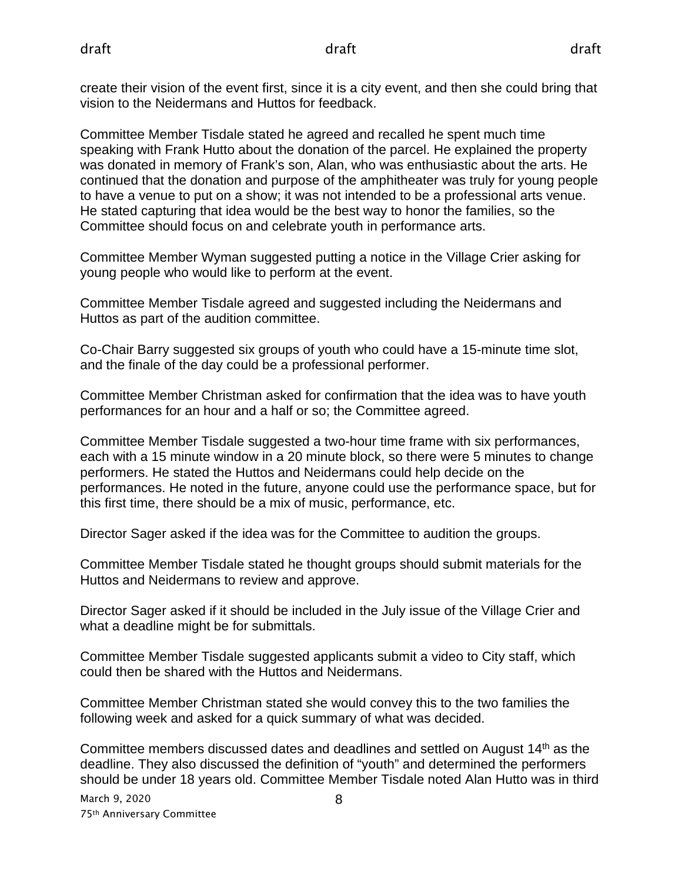create their vision of the event first, since it is a city event, and then she could bring that vision to the Neidermans and Huttos for feedback.

Committee Member Tisdale stated he agreed and recalled he spent much time speaking with Frank Hutto about the donation of the parcel. He explained the property was donated in memory of Frank's son, Alan, who was enthusiastic about the arts. He continued that the donation and purpose of the amphitheater was truly for young people to have a venue to put on a show; it was not intended to be a professional arts venue. He stated capturing that idea would be the best way to honor the families, so the Committee should focus on and celebrate youth in performance arts.

Committee Member Wyman suggested putting a notice in the Village Crier asking for young people who would like to perform at the event.

Committee Member Tisdale agreed and suggested including the Neidermans and Huttos as part of the audition committee.

Co-Chair Barry suggested six groups of youth who could have a 15-minute time slot, and the finale of the day could be a professional performer.

Committee Member Christman asked for confirmation that the idea was to have youth performances for an hour and a half or so; the Committee agreed.

Committee Member Tisdale suggested a two-hour time frame with six performances, each with a 15 minute window in a 20 minute block, so there were 5 minutes to change performers. He stated the Huttos and Neidermans could help decide on the performances. He noted in the future, anyone could use the performance space, but for this first time, there should be a mix of music, performance, etc.

Director Sager asked if the idea was for the Committee to audition the groups.

Committee Member Tisdale stated he thought groups should submit materials for the Huttos and Neidermans to review and approve.

Director Sager asked if it should be included in the July issue of the Village Crier and what a deadline might be for submittals.

Committee Member Tisdale suggested applicants submit a video to City staff, which could then be shared with the Huttos and Neidermans.

Committee Member Christman stated she would convey this to the two families the following week and asked for a quick summary of what was decided.

Committee members discussed dates and deadlines and settled on August  $14<sup>th</sup>$  as the deadline. They also discussed the definition of "youth" and determined the performers should be under 18 years old. Committee Member Tisdale noted Alan Hutto was in third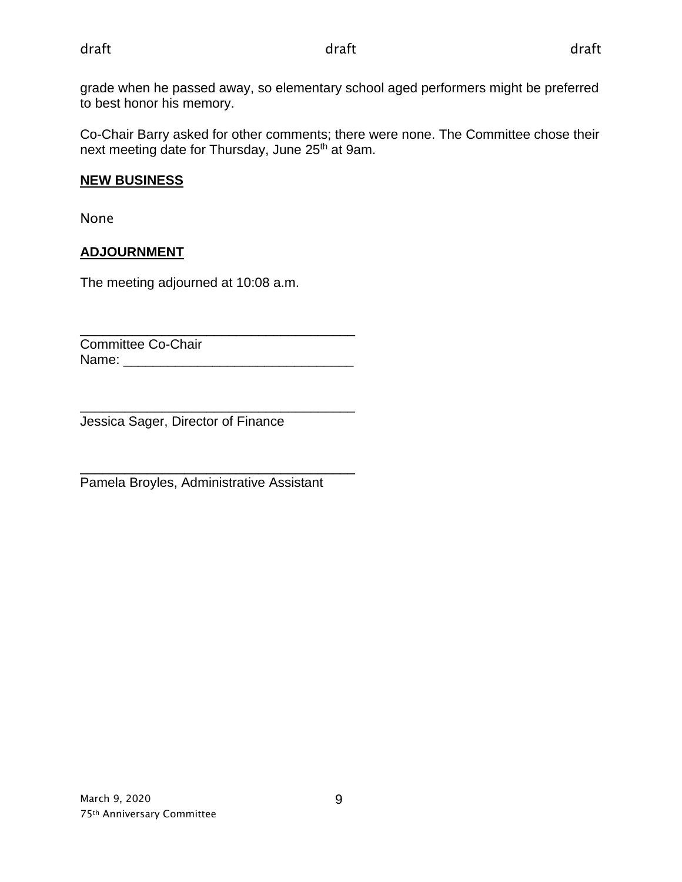grade when he passed away, so elementary school aged performers might be preferred to best honor his memory.

Co-Chair Barry asked for other comments; there were none. The Committee chose their next meeting date for Thursday, June 25<sup>th</sup> at 9am.

## **NEW BUSINESS**

None

# **ADJOURNMENT**

The meeting adjourned at 10:08 a.m.

\_\_\_\_\_\_\_\_\_\_\_\_\_\_\_\_\_\_\_\_\_\_\_\_\_\_\_\_\_\_\_\_\_\_\_\_\_ Committee Co-Chair Name: \_\_\_\_\_\_\_\_\_\_\_\_\_\_\_\_\_\_\_\_\_\_\_\_\_\_\_\_\_\_\_

\_\_\_\_\_\_\_\_\_\_\_\_\_\_\_\_\_\_\_\_\_\_\_\_\_\_\_\_\_\_\_\_\_\_\_\_\_ Jessica Sager, Director of Finance

\_\_\_\_\_\_\_\_\_\_\_\_\_\_\_\_\_\_\_\_\_\_\_\_\_\_\_\_\_\_\_\_\_\_\_\_\_ Pamela Broyles, Administrative Assistant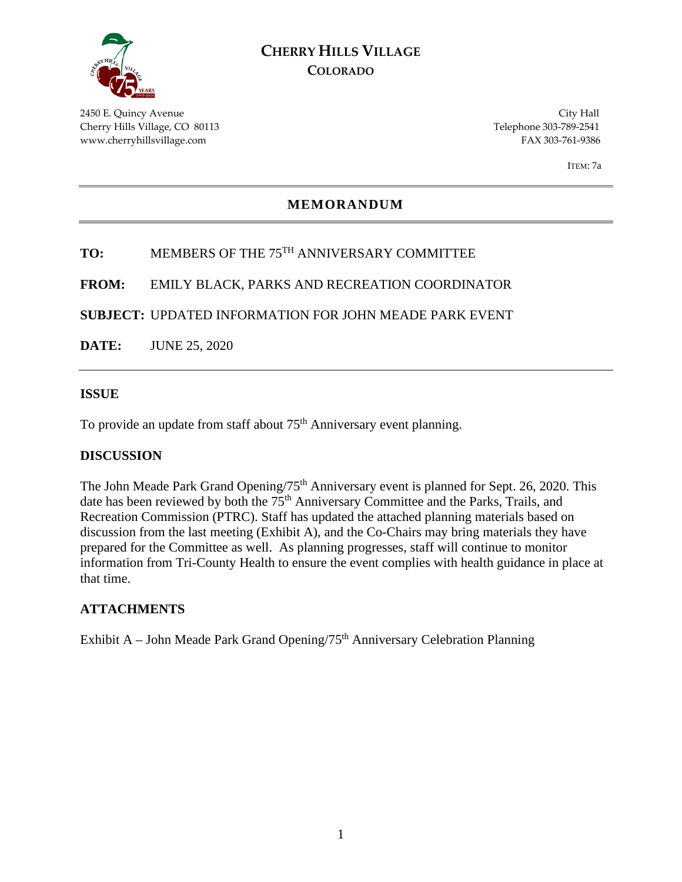

# **CHERRY HILLS VILLAGE COLORADO**

2450 E. Quincy Avenue City Hall Cherry Hills Village, CO 80113 Telephone 303-789-2541 www.cherryhillsvillage.com FAX 303-761-9386

ITEM: 7a

## **MEMORANDUM**

# **TO:** MEMBERS OF THE 75TH ANNIVERSARY COMMITTEE

**FROM:** EMILY BLACK, PARKS AND RECREATION COORDINATOR

**SUBJECT:** UPDATED INFORMATION FOR JOHN MEADE PARK EVENT

**DATE:** JUNE 25, 2020

#### **ISSUE**

To provide an update from staff about 75<sup>th</sup> Anniversary event planning.

## **DISCUSSION**

The John Meade Park Grand Opening/75<sup>th</sup> Anniversary event is planned for Sept. 26, 2020. This date has been reviewed by both the 75<sup>th</sup> Anniversary Committee and the Parks, Trails, and Recreation Commission (PTRC). Staff has updated the attached planning materials based on discussion from the last meeting (Exhibit A), and the Co-Chairs may bring materials they have prepared for the Committee as well. As planning progresses, staff will continue to monitor information from Tri-County Health to ensure the event complies with health guidance in place at that time.

## **ATTACHMENTS**

Exhibit A – John Meade Park Grand Opening/75th Anniversary Celebration Planning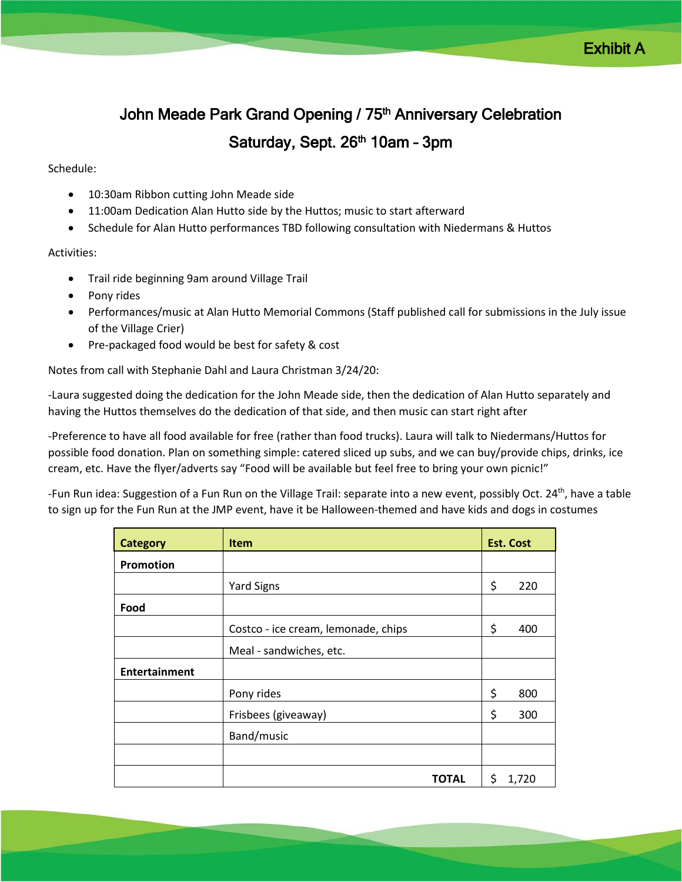# John Meade Park Grand Opening / 75<sup>th</sup> Anniversary Celebration Saturday, Sept. 26<sup>th</sup> 10am - 3pm

## Schedule:

- 10:30am Ribbon cutting John Meade side
- 11:00am Dedication Alan Hutto side by the Huttos; music to start afterward
- Schedule for Alan Hutto performances TBD following consultation with Niedermans & Huttos

#### Activities:

- Trail ride beginning 9am around Village Trail
- Pony rides
- Performances/music at Alan Hutto Memorial Commons (Staff published call for submissions in the July issue of the Village Crier)
- Pre-packaged food would be best for safety & cost

Notes from call with Stephanie Dahl and Laura Christman 3/24/20:

-Laura suggested doing the dedication for the John Meade side, then the dedication of Alan Hutto separately and having the Huttos themselves do the dedication of that side, and then music can start right after

-Preference to have all food available for free (rather than food trucks). Laura will talk to Niedermans/Huttos for possible food donation. Plan on something simple: catered sliced up subs, and we can buy/provide chips, drinks, ice cream, etc. Have the flyer/adverts say "Food will be available but feel free to bring your own picnic!"

-Fun Run idea: Suggestion of a Fun Run on the Village Trail: separate into a new event, possibly Oct. 24<sup>th</sup>, have a table to sign up for the Fun Run at the JMP event, have it be Halloween-themed and have kids and dogs in costumes

| <b>Category</b>      | <b>Item</b>                         | <b>Est. Cost</b> |     |
|----------------------|-------------------------------------|------------------|-----|
| Promotion            |                                     |                  |     |
|                      | <b>Yard Signs</b>                   | \$               | 220 |
| Food                 |                                     |                  |     |
|                      | Costco - ice cream, lemonade, chips | \$               | 400 |
|                      | Meal - sandwiches, etc.             |                  |     |
| <b>Entertainment</b> |                                     |                  |     |
|                      | Pony rides                          | \$               | 800 |
|                      | Frisbees (giveaway)                 | \$               | 300 |
|                      | Band/music                          |                  |     |
|                      |                                     |                  |     |
|                      | <b>TOTAL</b>                        | \$<br>1,720      |     |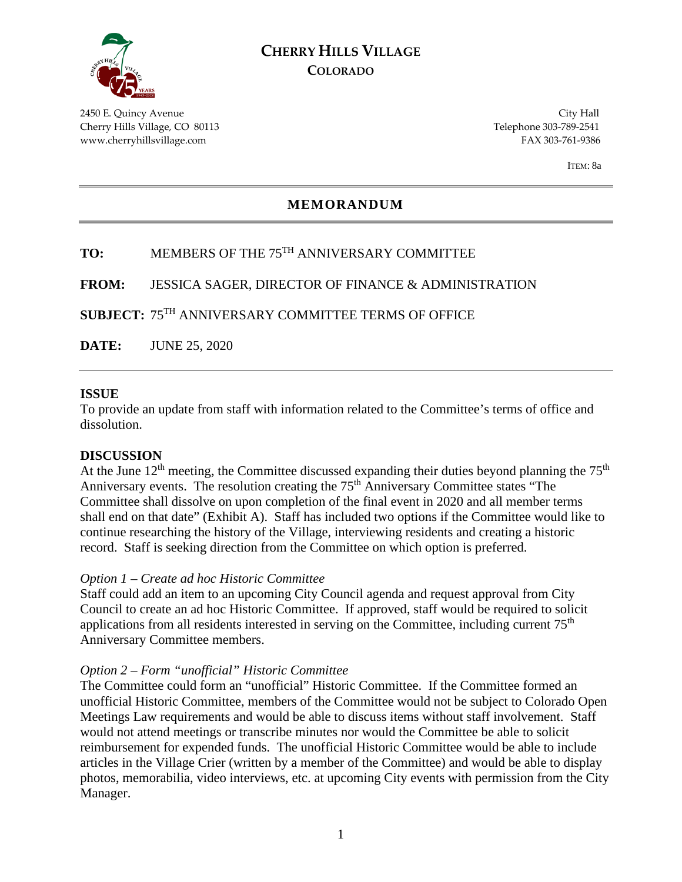

# **CHERRY HILLS VILLAGE COLORADO**

2450 E. Quincy Avenue City Hall Cherry Hills Village, CO 80113 Telephone 303-789-2541 www.cherryhillsvillage.com FAX 303-761-9386

ITEM: 8a

## **MEMORANDUM**

# **TO:** MEMBERS OF THE 75TH ANNIVERSARY COMMITTEE

**FROM:** JESSICA SAGER, DIRECTOR OF FINANCE & ADMINISTRATION

**SUBJECT:** 75TH ANNIVERSARY COMMITTEE TERMS OF OFFICE

**DATE:** JUNE 25, 2020

#### **ISSUE**

To provide an update from staff with information related to the Committee's terms of office and dissolution.

## **DISCUSSION**

At the June  $12<sup>th</sup>$  meeting, the Committee discussed expanding their duties beyond planning the  $75<sup>th</sup>$ Anniversary events. The resolution creating the 75<sup>th</sup> Anniversary Committee states "The Committee shall dissolve on upon completion of the final event in 2020 and all member terms shall end on that date" (Exhibit A). Staff has included two options if the Committee would like to continue researching the history of the Village, interviewing residents and creating a historic record. Staff is seeking direction from the Committee on which option is preferred.

#### *Option 1 – Create ad hoc Historic Committee*

Staff could add an item to an upcoming City Council agenda and request approval from City Council to create an ad hoc Historic Committee. If approved, staff would be required to solicit applications from all residents interested in serving on the Committee, including current 75<sup>th</sup> Anniversary Committee members.

## *Option 2 – Form "unofficial" Historic Committee*

The Committee could form an "unofficial" Historic Committee. If the Committee formed an unofficial Historic Committee, members of the Committee would not be subject to Colorado Open Meetings Law requirements and would be able to discuss items without staff involvement. Staff would not attend meetings or transcribe minutes nor would the Committee be able to solicit reimbursement for expended funds. The unofficial Historic Committee would be able to include articles in the Village Crier (written by a member of the Committee) and would be able to display photos, memorabilia, video interviews, etc. at upcoming City events with permission from the City Manager.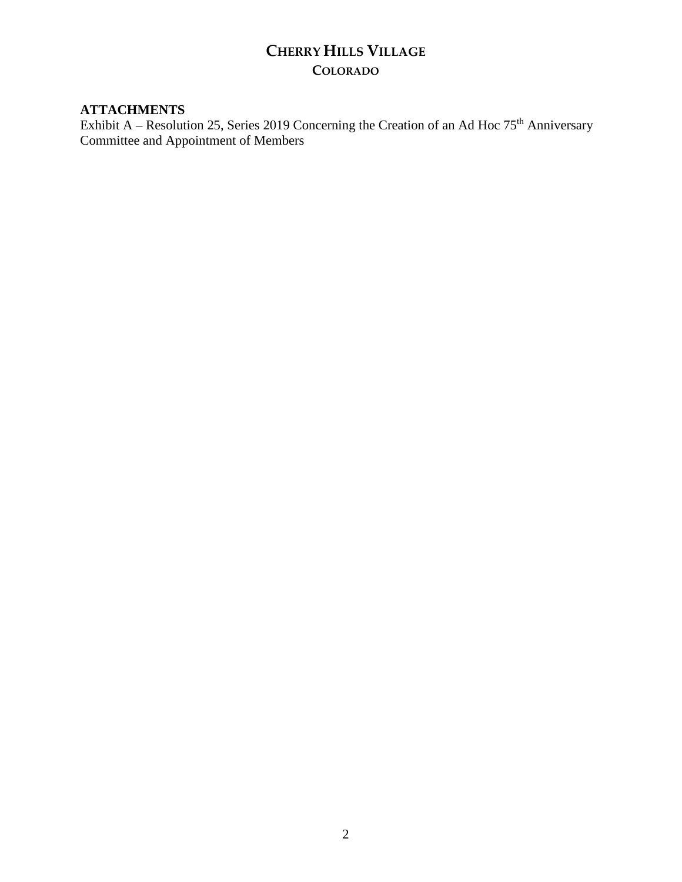# **CHERRY HILLS VILLAGE COLORADO**

## **ATTACHMENTS**

Exhibit A – Resolution 25, Series 2019 Concerning the Creation of an Ad Hoc  $75<sup>th</sup>$  Anniversary Committee and Appointment of Members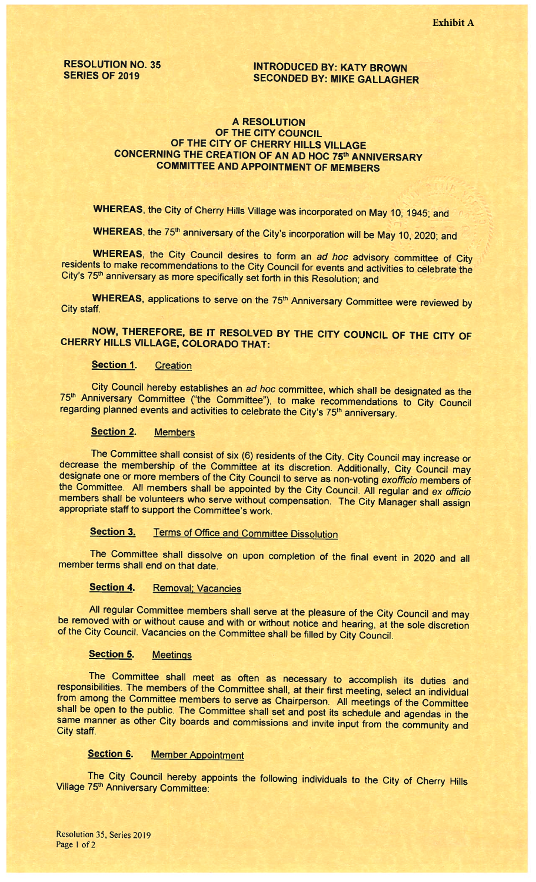# RESOLUTION NO. 35<br>SERIES OF 2019 SECONDED BY: MIKE GALLACHI **SECONDED BY: MIKE GALLAGHER**

## A RESOLUTION OF THE CITY COUNCIL OF THE CITY OF CHERRY HILLS VILLAGE CONCERNING THE CREATION OF AN AD HOC 75th ANNIVERSARY COMMITTEE AND APPOINTMENT OF MEMBERS

WHEREAS, the City of Cherry Hills Village was incorporated on May 10, 1945; and

WHEREAS, the 75<sup>th</sup> anniversary of the City's incorporation will be May 10, 2020; and

WHEREAS, the City Council desires to form an ad hoc advisory committee of City residents to make recommendations to the City Council for events and activities to celebrate the City's 75<sup>th</sup> anniversary as more specifically set forth in this Resolution; and

WHEREAS, applications to serve on the 75<sup>th</sup> Anniversary Committee were reviewed by City staff.

NOW, THEREFORE, BE IT RESOLVED BY THE CITY COUNCIL OF THE CITY OF CHERRY HILLS VILLAGE, COLORADO THAT:

## Section 1. Creation

75th Anniversary Committee ("the Committee"), to make recommendations to City Council City Council hereby establishes an ad hoc committee, which shall be designated as the regarding planned events and activities to celebrate the City's 75<sup>th</sup> anniversary.

#### Section 2. Members

The Committee shall consist of six (6) residents of the City. City Council may increase or decrease the membership of the Committee at its discretion. Additionally, City Council may designate one or more members of the Cit the Committee. All members shall be appointed by the City Council. All regular and ex officio members shall be volunteers who serve without compensation. The City Manager shall assign appropriate staff to support the Committee's work.

# Section 3. Terms of Office and Committee Dissolution

The Committee shall dissolve on upon completion of the final event in <sup>2020</sup> and all member terms shall end on that date.

## Section 4. Removal; Vacancies

All regular Committee members shall serve at the <sup>p</sup>leasure of the City Council and may be removed with or without cause and with or without notice and hearing, at the sole discretion of the City Council. Vacancies on the Committee shall be filled by City Council.

#### Section 5. Meetings

The Committee shall meet as often as necessary to accomplish its duties and responsibilities. The members of the Committee shall, at their first meeting, select an individual from among the Committee members to serve as Chairperson. All meetings of the Committee shall be open to the public. The Committee shall set and post its schedule and agendas in the same manner as other City boards and commissions and invite input from the community and City staff.

## Section 6. Member Appointment

The City Council hereby appoints the following individuals to the City of Cherry Hills Village 75<sup>th</sup> Anniversary Committee: